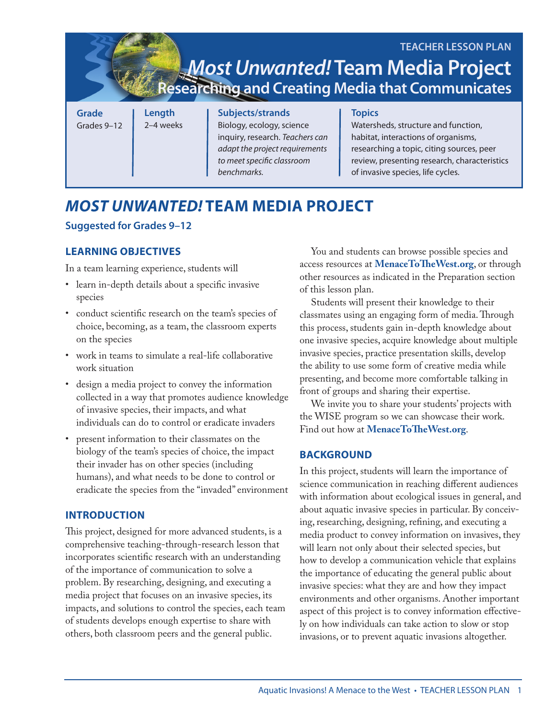| <b>TEACHER LESSON PLAN</b><br><i>Most Unwanted!</i> Team Media Project<br><b>Researching and Creating Media that Communicates</b> |                     |                                                                                                                                                                 |                                                                                                                                                                                                                               |
|-----------------------------------------------------------------------------------------------------------------------------------|---------------------|-----------------------------------------------------------------------------------------------------------------------------------------------------------------|-------------------------------------------------------------------------------------------------------------------------------------------------------------------------------------------------------------------------------|
| <b>Grade</b><br>Grades 9-12                                                                                                       | Length<br>2-4 weeks | Subjects/strands<br>Biology, ecology, science<br>inquiry, research. Teachers can<br>adapt the project requirements<br>to meet specific classroom<br>benchmarks. | <b>Topics</b><br>Watersheds, structure and function,<br>habitat, interactions of organisms,<br>researching a topic, citing sources, peer<br>review, presenting research, characteristics<br>of invasive species, life cycles. |

## *MOST UNWANTED!* **TEAM MEDIA PROJECT**

## **Suggested for Grades 9–12**

## **LEARNING OBJECTIVES**

In a team learning experience, students will

- learn in-depth details about a specific invasive species
- conduct scientific research on the team's species of choice, becoming, as a team, the classroom experts on the species
- work in teams to simulate a real-life collaborative work situation
- design a media project to convey the information collected in a way that promotes audience knowledge of invasive species, their impacts, and what individuals can do to control or eradicate invaders
- present information to their classmates on the biology of the team's species of choice, the impact their invader has on other species (including humans), and what needs to be done to control or eradicate the species from the "invaded" environment

## **INTRODUCTION**

This project, designed for more advanced students, is a comprehensive teaching-through-research lesson that incorporates scientific research with an understanding of the importance of communication to solve a problem. By researching, designing, and executing a media project that focuses on an invasive species, its impacts, and solutions to control the species, each team of students develops enough expertise to share with others, both classroom peers and the general public.

You and students can browse possible species and access resources at **MenaceToTheWest.org**, or through other resources as indicated in the Preparation section of this lesson plan.

Students will present their knowledge to their classmates using an engaging form of media. Through this process, students gain in-depth knowledge about one invasive species, acquire knowledge about multiple invasive species, practice presentation skills, develop the ability to use some form of creative media while presenting, and become more comfortable talking in front of groups and sharing their expertise.

We invite you to share your students' projects with the WISE program so we can showcase their work. Find out how at **MenaceToTheWest.org**.

## **BACKGROUND**

In this project, students will learn the importance of science communication in reaching different audiences with information about ecological issues in general, and about aquatic invasive species in particular. By conceiving, researching, designing, refining, and executing a media product to convey information on invasives, they will learn not only about their selected species, but how to develop a communication vehicle that explains the importance of educating the general public about invasive species: what they are and how they impact environments and other organisms. Another important aspect of this project is to convey information effectively on how individuals can take action to slow or stop invasions, or to prevent aquatic invasions altogether.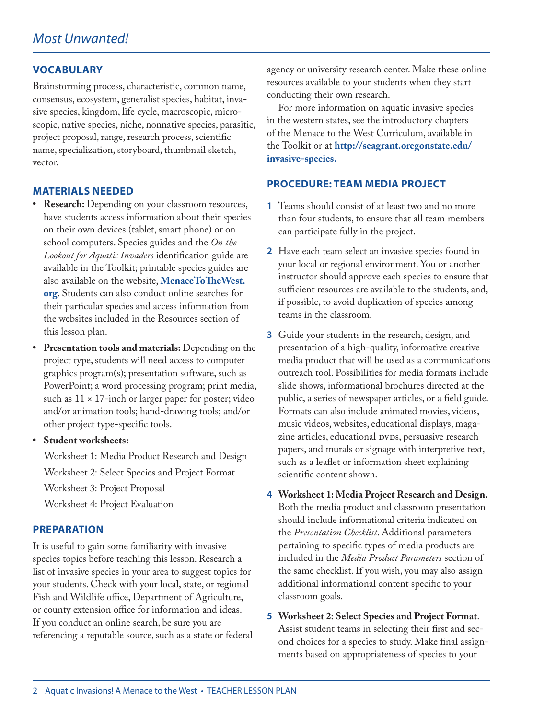### **VOCABULARY**

Brainstorming process, characteristic, common name, consensus, ecosystem, generalist species, habitat, invasive species, kingdom, life cycle, macroscopic, microscopic, native species, niche, nonnative species, parasitic, project proposal, range, research process, scientific name, specialization, storyboard, thumbnail sketch, vector.

#### **MATERIALS NEEDED**

- **• Research:** Depending on your classroom resources, have students access information about their species on their own devices (tablet, smart phone) or on school computers. Species guides and the *On the Lookout for Aquatic Invaders* identification guide are available in the Toolkit; printable species guides are also available on the website, **MenaceToTheWest. org**. Students can also conduct online searches for their particular species and access information from the websites included in the Resources section of this lesson plan.
- **• Presentation tools and materials:** Depending on the project type, students will need access to computer graphics program(s); presentation software, such as PowerPoint; a word processing program; print media, such as  $11 \times 17$ -inch or larger paper for poster; video and/or animation tools; hand-drawing tools; and/or other project type-specific tools.
- **• Student worksheets:**

Worksheet 1: Media Product Research and Design Worksheet 2: Select Species and Project Format Worksheet 3: Project Proposal Worksheet 4: Project Evaluation

#### **PREPARATION**

It is useful to gain some familiarity with invasive species topics before teaching this lesson. Research a list of invasive species in your area to suggest topics for your students. Check with your local, state, or regional Fish and Wildlife office, Department of Agriculture, or county extension office for information and ideas. If you conduct an online search, be sure you are referencing a reputable source, such as a state or federal agency or university research center. Make these online resources available to your students when they start conducting their own research.

For more information on aquatic invasive species in the western states, see the introductory chapters of the Menace to the West Curriculum, available in the Toolkit or at **http://seagrant.oregonstate.edu/ invasive-species.**

#### **PROCEDURE: TEAM MEDIA PROJECT**

- **1** Teams should consist of at least two and no more than four students, to ensure that all team members can participate fully in the project.
- **2** Have each team select an invasive species found in your local or regional environment. You or another instructor should approve each species to ensure that sufficient resources are available to the students, and, if possible, to avoid duplication of species among teams in the classroom.
- **3** Guide your students in the research, design, and presentation of a high-quality, informative creative media product that will be used as a communications outreach tool. Possibilities for media formats include slide shows, informational brochures directed at the public, a series of newspaper articles, or a field guide. Formats can also include animated movies, videos, music videos, websites, educational displays, magazine articles, educational DVDs, persuasive research papers, and murals or signage with interpretive text, such as a leaflet or information sheet explaining scientific content shown.
- **4 Worksheet 1: Media Project Research and Design.**  Both the media product and classroom presentation should include informational criteria indicated on the *Presentation Checklist*. Additional parameters pertaining to specific types of media products are included in the *Media Product Parameters* section of the same checklist. If you wish, you may also assign additional informational content specific to your classroom goals.
- **5 Worksheet 2: Select Species and Project Format**. Assist student teams in selecting their first and second choices for a species to study. Make final assignments based on appropriateness of species to your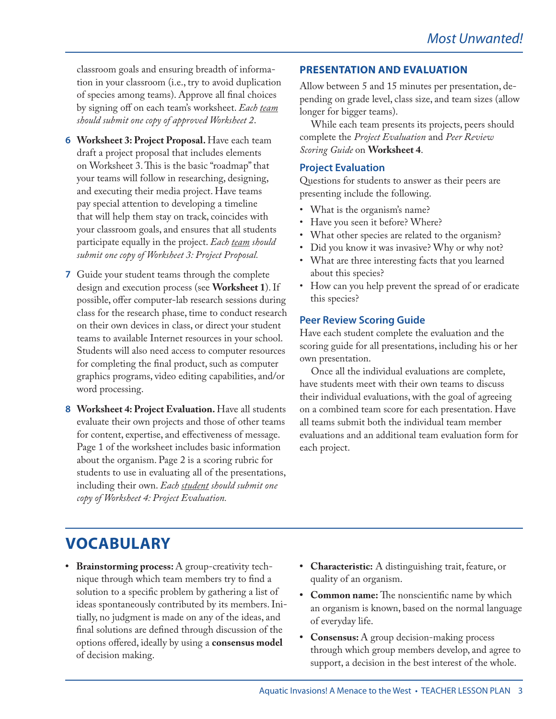classroom goals and ensuring breadth of information in your classroom (i.e., try to avoid duplication of species among teams). Approve all final choices by signing off on each team's worksheet. *Each team should submit one copy of approved Worksheet 2*.

- **6 Worksheet 3: Project Proposal.** Have each team draft a project proposal that includes elements on Worksheet 3. This is the basic "roadmap" that your teams will follow in researching, designing, and executing their media project. Have teams pay special attention to developing a timeline that will help them stay on track, coincides with your classroom goals, and ensures that all students participate equally in the project. *Each team should submit one copy of Worksheet 3: Project Proposal.*
- **7** Guide your student teams through the complete design and execution process (see **Worksheet 1**). If possible, offer computer-lab research sessions during class for the research phase, time to conduct research on their own devices in class, or direct your student teams to available Internet resources in your school. Students will also need access to computer resources for completing the final product, such as computer graphics programs, video editing capabilities, and/or word processing.
- **8 Worksheet 4: Project Evaluation.** Have all students evaluate their own projects and those of other teams for content, expertise, and effectiveness of message. Page 1 of the worksheet includes basic information about the organism. Page 2 is a scoring rubric for students to use in evaluating all of the presentations, including their own. *Each student should submit one copy of Worksheet 4: Project Evaluation.*

## **PRESENTATION AND EVALUATION**

Allow between 5 and 15 minutes per presentation, depending on grade level, class size, and team sizes (allow longer for bigger teams).

While each team presents its projects, peers should complete the *Project Evaluation* and *Peer Review Scoring Guide* on **Worksheet 4**.

### **Project Evaluation**

Questions for students to answer as their peers are presenting include the following.

- What is the organism's name?
- Have you seen it before? Where?
- What other species are related to the organism?
- Did you know it was invasive? Why or why not?
- What are three interesting facts that you learned about this species?
- How can you help prevent the spread of or eradicate this species?

## **Peer Review Scoring Guide**

Have each student complete the evaluation and the scoring guide for all presentations, including his or her own presentation.

Once all the individual evaluations are complete, have students meet with their own teams to discuss their individual evaluations, with the goal of agreeing on a combined team score for each presentation. Have all teams submit both the individual team member evaluations and an additional team evaluation form for each project.

# **VOCABULARY**

- **• Brainstorming process:** A group-creativity technique through which team members try to find a solution to a specific problem by gathering a list of ideas spontaneously contributed by its members. Initially, no judgment is made on any of the ideas, and final solutions are defined through discussion of the options offered, ideally by using a **consensus model** of decision making.
- **• Characteristic:** A distinguishing trait, feature, or quality of an organism.
- **• Common name:** The nonscientific name by which an organism is known, based on the normal language of everyday life.
- **• Consensus:** A group decision-making process through which group members develop, and agree to support, a decision in the best interest of the whole.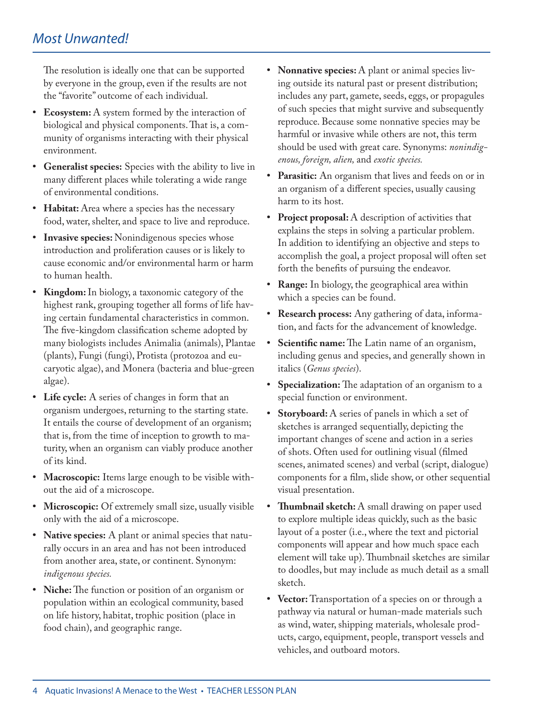The resolution is ideally one that can be supported by everyone in the group, even if the results are not the "favorite" outcome of each individual.

- **• Ecosystem:** A system formed by the interaction of biological and physical components. That is, a community of organisms interacting with their physical environment.
- **• Generalist species:** Species with the ability to live in many different places while tolerating a wide range of environmental conditions.
- **• Habitat:** Area where a species has the necessary food, water, shelter, and space to live and reproduce.
- **• Invasive species:** Nonindigenous species whose introduction and proliferation causes or is likely to cause economic and/or environmental harm or harm to human health.
- **• Kingdom:** In biology, a taxonomic category of the highest rank, grouping together all forms of life having certain fundamental characteristics in common. The five-kingdom classification scheme adopted by many biologists includes Animalia (animals), Plantae (plants), Fungi (fungi), Protista (protozoa and eucaryotic algae), and Monera (bacteria and blue-green algae).
- **• Life cycle:** A series of changes in form that an organism undergoes, returning to the starting state. It entails the course of development of an organism; that is, from the time of inception to growth to maturity, when an organism can viably produce another of its kind.
- **• Macroscopic:** Items large enough to be visible without the aid of a microscope.
- **• Microscopic:** Of extremely small size, usually visible only with the aid of a microscope.
- **• Native species:** A plant or animal species that naturally occurs in an area and has not been introduced from another area, state, or continent. Synonym: *indigenous species.*
- **• Niche:** The function or position of an organism or population within an ecological community, based on life history, habitat, trophic position (place in food chain), and geographic range.
- **• Nonnative species:** A plant or animal species living outside its natural past or present distribution; includes any part, gamete, seeds, eggs, or propagules of such species that might survive and subsequently reproduce. Because some nonnative species may be harmful or invasive while others are not, this term should be used with great care. Synonyms: *nonindigenous, foreign, alien,* and *exotic species.*
- **• Parasitic:** An organism that lives and feeds on or in an organism of a different species, usually causing harm to its host.
- **• Project proposal:** A description of activities that explains the steps in solving a particular problem. In addition to identifying an objective and steps to accomplish the goal, a project proposal will often set forth the benefits of pursuing the endeavor.
- **• Range:** In biology, the geographical area within which a species can be found.
- **• Research process:** Any gathering of data, information, and facts for the advancement of knowledge.
- **• Scientific name:** The Latin name of an organism, including genus and species, and generally shown in italics (*Genus species*).
- **• Specialization:** The adaptation of an organism to a special function or environment.
- **• Storyboard:** A series of panels in which a set of sketches is arranged sequentially, depicting the important changes of scene and action in a series of shots. Often used for outlining visual (filmed scenes, animated scenes) and verbal (script, dialogue) components for a film, slide show, or other sequential visual presentation.
- **• Thumbnail sketch:** A small drawing on paper used to explore multiple ideas quickly, such as the basic layout of a poster (i.e., where the text and pictorial components will appear and how much space each element will take up). Thumbnail sketches are similar to doodles, but may include as much detail as a small sketch.
- **• Vector:** Transportation of a species on or through a pathway via natural or human-made materials such as wind, water, shipping materials, wholesale products, cargo, equipment, people, transport vessels and vehicles, and outboard motors.